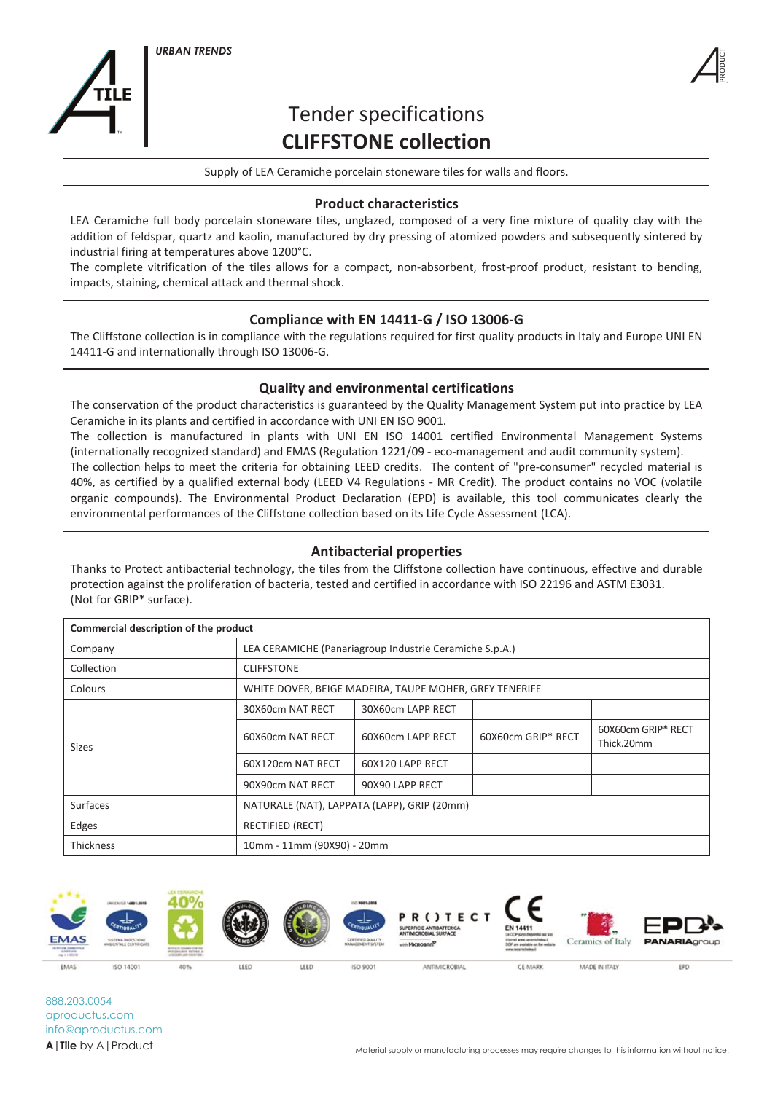



# The complete vitrification of the tiles allows for a complete vitrification of the tiles allows for a compact, resistant to be non-absorbent, and the tiles are compact, respectively. The time  $\mathcal{L}$ **CLIFFSTONE collection**

**Supply of LEA Ceramiche porcelain stoneware tiles for walls and floors.** 

#### **Product characteristics** The Cliffstone collection is in compliance with the regulations required for first quality products in Italy and EUROPE UNI ENGINE ENGINE TO A REGULATION of  $\mathcal{L}$  and EUROPE UNITED FOR FIRST  $\mathcal{L}$  and EUROPE UNITED

ribuutt tharatteristics<br>LEA Ceramiche full body porcelain stoneware tiles, unglazed, composed of a very fine mixture of quality clay with the addition of feldspar, quartz and kaolin, manufactured by dry pressing of atomized powders and subsequently sintered by industrial firing at temperatures above 1200°C.

industrial firing at temperatures above 1200°C.<br>The complete vitrification of the tiles allows for a compact, non-absorbent, frost-proof product, resistant to bending, impacts, staining, chemical attack and thermal shock. The complete virtingation of the thes anons for a compact, non-assorsem, hest proof product, resistant to senamp,<br>impacts staining chemical attack and thermal shock Ceramiche in its plants and certified in accordance with UNI EN ISO 9001.

# **Compliance with EN 14411-G / ISO 13006-G**

The Cliffstone collection is in compliance with the regulations required for first quality products in Italy and Europe UNI EN 14411-G and internationally through ISO 13006-G.

### **Organic compounds**  $Q$  and  $Q$  and  $Q$  are environmental certifications  $\overline{A}$  as certified external body (LEED V4 Regulations  $\overline{A}$  and  $\overline{A}$  and  $\overline{A}$  and  $\overline{A}$  and  $\overline{A}$  and  $\overline{A}$

The conservation of the product characteristics is guaranteed by the Quality Management System put into practice by LEA Ceramiche in its plants and certified in accordance with UNI EN ISO 9001.

The collection is manufactured in plants with UNI EN ISO 14001 certified Environmental Management Systems (internationally recognized standard) and EMAS (Regulation 1221/09 - eco-management and audit community system).<br>The cellection helps to meet the criteria for obtaining LEED cradits. The contant of "nre consumer" requeled The collection helps to meet the criteria for obtaining LEED credits. The content of "pre‐consumer" recycled material is 40%, as certified by a qualified external body (LEED V4 Regulations - MR Credit). The product contains no VOC (volatile organic compounds). The Environmental Product Declaration (EPD) is available, this tool communicates clearly the environmental performances of the Cliffstone collection based on its Life Cycle Assessment (LCA).

#### **Antibacterial properties**

Thanks to Protect antibacterial technology, the tiles from the Cliffstone collection have continuous, effective and durable manks to Protect antibacterial technology, the thes from the Christone collection have continuous, effective and d<br>protection against the proliferation of bacteria, tested and certified in accordance with ISO 22196 and AST (Not for GRIP $*$  surface).

| Commercial description of the product |                                             |                                                         |                    |                                  |  |  |
|---------------------------------------|---------------------------------------------|---------------------------------------------------------|--------------------|----------------------------------|--|--|
| Company                               |                                             | LEA CERAMICHE (Panariagroup Industrie Ceramiche S.p.A.) |                    |                                  |  |  |
| Collection                            | <b>CLIFFSTONE</b>                           |                                                         |                    |                                  |  |  |
| Colours                               |                                             | WHITE DOVER, BEIGE MADEIRA, TAUPE MOHER, GREY TENERIFE  |                    |                                  |  |  |
| <b>Sizes</b>                          | 30X60cm NAT RECT                            | 30X60cm LAPP RECT                                       |                    |                                  |  |  |
|                                       | 60X60cm NAT RECT                            | 60X60cm LAPP RECT                                       | 60X60cm GRIP* RECT | 60X60cm GRIP* RECT<br>Thick.20mm |  |  |
|                                       | 60X120cm NAT RECT                           | 60X120 LAPP RECT                                        |                    |                                  |  |  |
|                                       | 90X90cm NAT RECT                            | 90X90 LAPP RECT                                         |                    |                                  |  |  |
| Surfaces                              | NATURALE (NAT), LAPPATA (LAPP), GRIP (20mm) |                                                         |                    |                                  |  |  |
| Edges                                 | RECTIFIED (RECT)                            |                                                         |                    |                                  |  |  |
| <b>Thickness</b>                      | 10mm - 11mm (90X90) - 20mm                  |                                                         |                    |                                  |  |  |



**A|Tile** by A|Product aproductus.com info@aproductus.com 888.203.0054